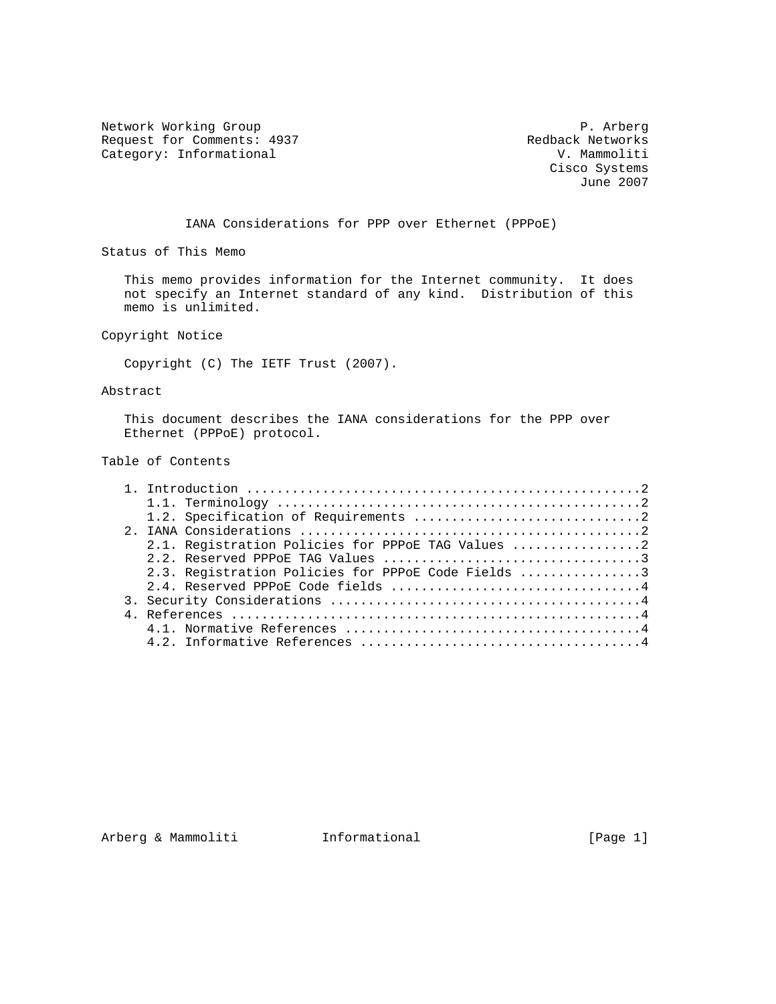Network Working Group **P. Arberg** Request for Comments: 4937 Redback Networks<br>
Category: Informational Manuscriptic Redback Networks Category: Informational

 Cisco Systems June 2007

IANA Considerations for PPP over Ethernet (PPPoE)

Status of This Memo

 This memo provides information for the Internet community. It does not specify an Internet standard of any kind. Distribution of this memo is unlimited.

Copyright Notice

Copyright (C) The IETF Trust (2007).

#### Abstract

 This document describes the IANA considerations for the PPP over Ethernet (PPPoE) protocol.

## Table of Contents

|  | 2.1. Registration Policies for PPPOE TAG Values 2  |
|--|----------------------------------------------------|
|  |                                                    |
|  | 2.3. Registration Policies for PPPoE Code Fields 3 |
|  |                                                    |
|  |                                                    |
|  |                                                    |
|  |                                                    |
|  |                                                    |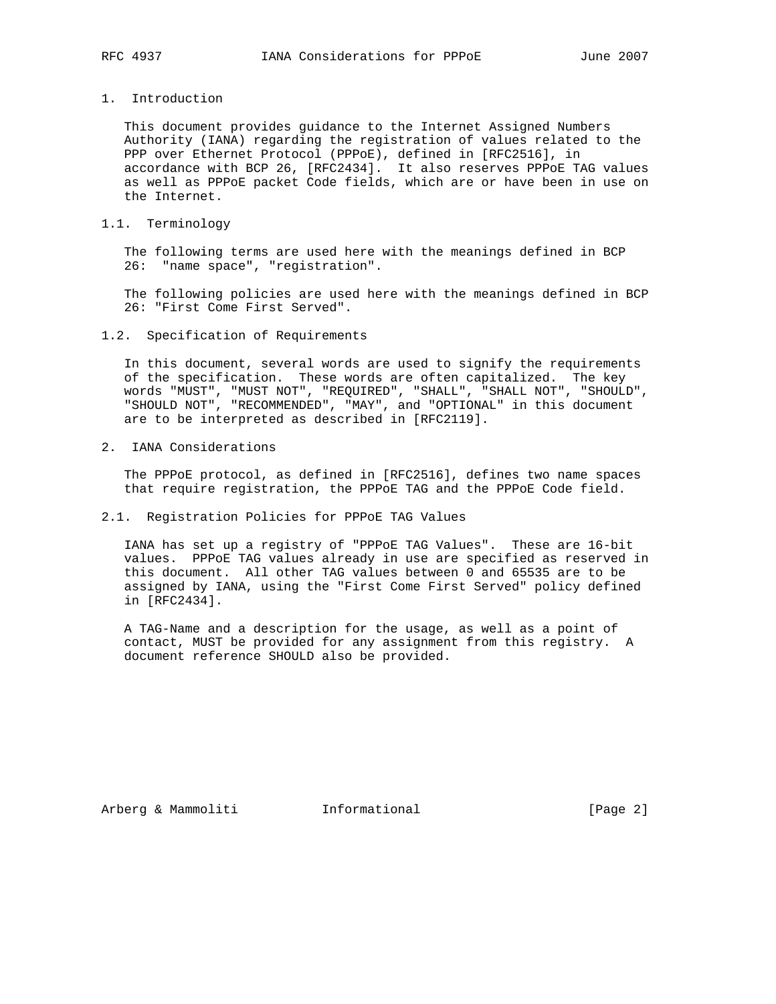# 1. Introduction

 This document provides guidance to the Internet Assigned Numbers Authority (IANA) regarding the registration of values related to the PPP over Ethernet Protocol (PPPoE), defined in [RFC2516], in accordance with BCP 26, [RFC2434]. It also reserves PPPoE TAG values as well as PPPoE packet Code fields, which are or have been in use on the Internet.

#### 1.1. Terminology

 The following terms are used here with the meanings defined in BCP 26: "name space", "registration".

 The following policies are used here with the meanings defined in BCP 26: "First Come First Served".

1.2. Specification of Requirements

 In this document, several words are used to signify the requirements of the specification. These words are often capitalized. The key words "MUST", "MUST NOT", "REQUIRED", "SHALL", "SHALL NOT", "SHOULD", "SHOULD NOT", "RECOMMENDED", "MAY", and "OPTIONAL" in this document are to be interpreted as described in [RFC2119].

2. IANA Considerations

 The PPPoE protocol, as defined in [RFC2516], defines two name spaces that require registration, the PPPoE TAG and the PPPoE Code field.

2.1. Registration Policies for PPPoE TAG Values

 IANA has set up a registry of "PPPoE TAG Values". These are 16-bit values. PPPoE TAG values already in use are specified as reserved in this document. All other TAG values between 0 and 65535 are to be assigned by IANA, using the "First Come First Served" policy defined in [RFC2434].

 A TAG-Name and a description for the usage, as well as a point of contact, MUST be provided for any assignment from this registry. A document reference SHOULD also be provided.

Arberg & Mammoliti **Informational** [Page 2]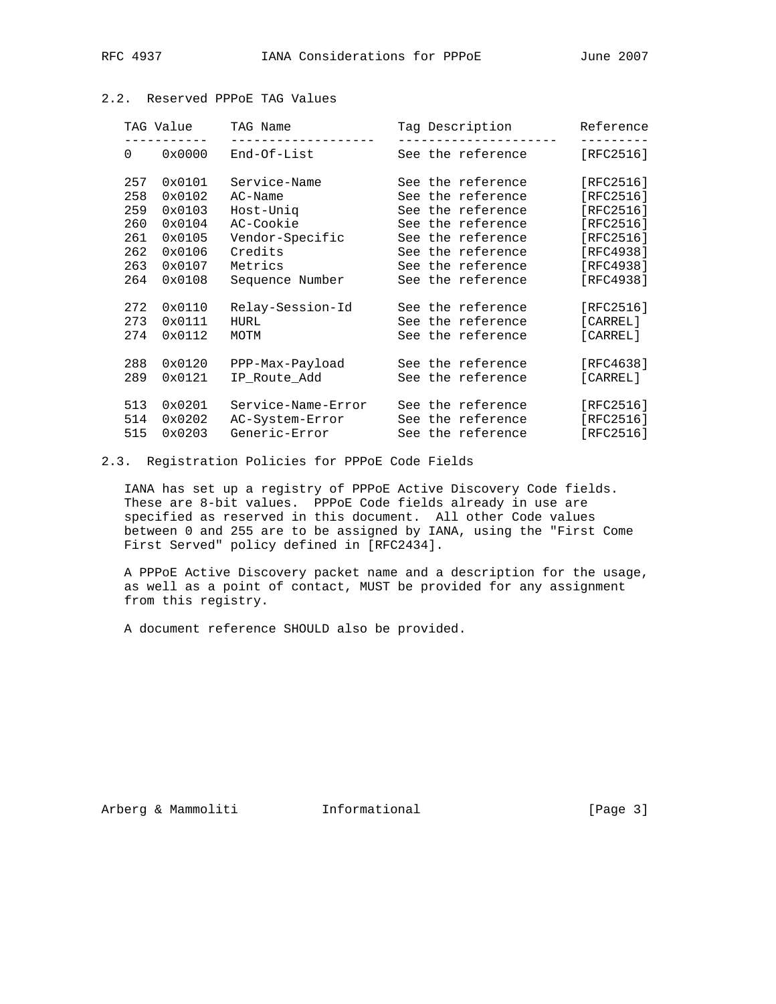|                   | TAG Value | TAG Name<br>______________ | Tag Description   | Reference |  |
|-------------------|-----------|----------------------------|-------------------|-----------|--|
| $0 \qquad \qquad$ | 0x0000    | End-Of-List                | See the reference | [REC2516] |  |
| 257               | 0x0101    | Service-Name               | See the reference | [RFC2516] |  |
| 258               | 0x0102    | $AC-Name$                  | See the reference | [RFC2516] |  |
| 259               | 0x0103    | Host-Unig                  | See the reference | [RFC2516] |  |
| 260               | 0x0104    | AC-Cookie                  | See the reference | [RFC2516] |  |
| 261               | 0x0105    | Vendor-Specific            | See the reference | [RFC2516] |  |
| 262               | 0x0106    | Credits                    | See the reference | [RFC4938] |  |
| 263               | 0x0107    | Metrics                    | See the reference | [RFC4938] |  |
| 264               | 0x0108    | Sequence Number            | See the reference | [RFC4938] |  |
| 272               | 0x0110    | Relay-Session-Id           | See the reference | [RFC2516] |  |
| 273               | 0x0111    | HURL                       | See the reference | [CARREL]  |  |
| 274               | 0x0112    | MOTM                       | See the reference | [CARREL]  |  |
| 288               | 0x0120    | PPP-Max-Payload            | See the reference | [RFC4638] |  |
| 289               | 0x0121    | IP Route Add               | See the reference | [CARREL]  |  |
| 513               | 0x0201    | Service-Name-Error         | See the reference | [RFC2516] |  |
| 514               | 0x0202    | AC-System-Error            | See the reference | [RFC2516] |  |
| 515               | 0x0203    | Generic-Error              | See the reference | [RFC2516] |  |

## 2.2. Reserved PPPoE TAG Values

2.3. Registration Policies for PPPoE Code Fields

 IANA has set up a registry of PPPoE Active Discovery Code fields. These are 8-bit values. PPPoE Code fields already in use are specified as reserved in this document. All other Code values between 0 and 255 are to be assigned by IANA, using the "First Come First Served" policy defined in [RFC2434].

 A PPPoE Active Discovery packet name and a description for the usage, as well as a point of contact, MUST be provided for any assignment from this registry.

A document reference SHOULD also be provided.

Arberg & Mammoliti **Informational** [Page 3]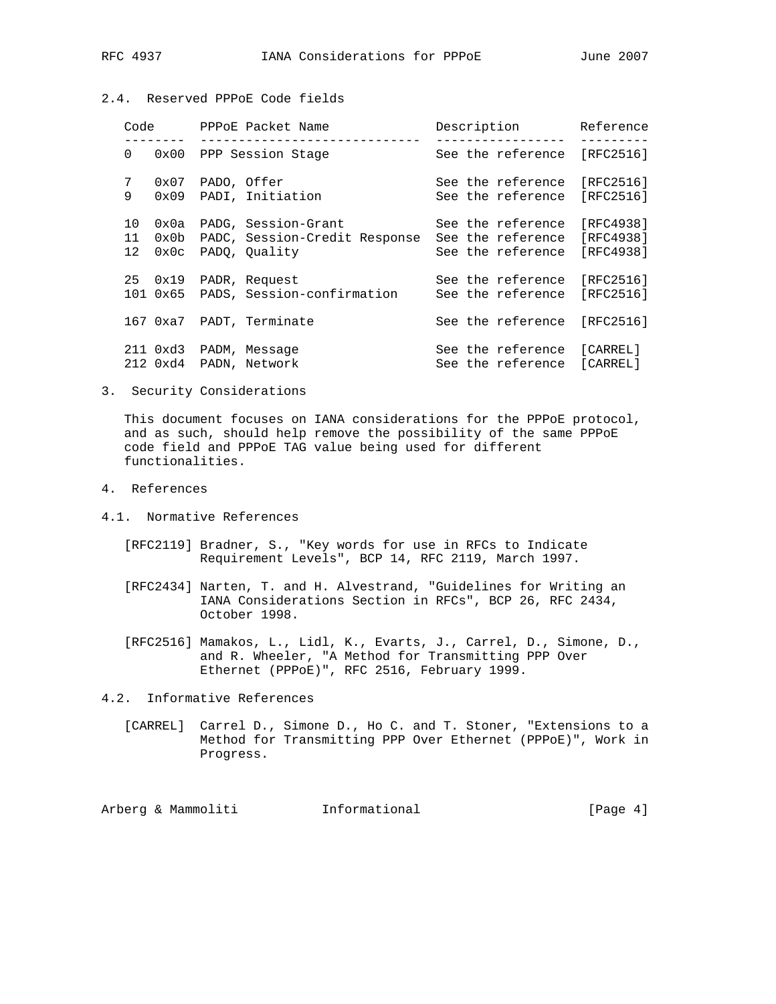# 2.4. Reserved PPPoE Code fields

|          | Code | PPPoE Packet Name<br>_____________________ |                                                                                         | Description |  |                                                             | Reference                           |
|----------|------|--------------------------------------------|-----------------------------------------------------------------------------------------|-------------|--|-------------------------------------------------------------|-------------------------------------|
| 0        |      |                                            | 0x00 PPP Session Stage                                                                  |             |  | See the reference                                           | [RFC2516]                           |
| 7<br>9   |      | 0x07 PADO, Offer                           | 0x09 PADI, Initiation                                                                   |             |  | See the reference<br>See the reference                      | [RFC2516]<br>[RFC2516]              |
| 10<br>11 |      |                                            | 0x0a PADG, Session-Grant<br>0x0b PADC, Session-Credit Response<br>12 0x0c PADO, Ouality |             |  | See the reference<br>See the reference<br>See the reference | [RFC4938]<br>[RFC4938]<br>[RFC4938] |
|          |      |                                            | 25 0x19 PADR, Request<br>101 0x65 PADS, Session-confirmation                            |             |  | See the reference<br>See the reference                      | [RFC2516]<br>[RFC2516]              |
|          |      |                                            | 167 0xa7 PADT, Terminate                                                                |             |  | See the reference                                           | $[RFC2516]$                         |
|          |      |                                            | 211 0xd3 PADM, Message<br>212 0xd4 PADN, Network                                        |             |  | See the reference [CARREL]<br>See the reference             | [CARREL]                            |

3. Security Considerations

 This document focuses on IANA considerations for the PPPoE protocol, and as such, should help remove the possibility of the same PPPoE code field and PPPoE TAG value being used for different functionalities.

- 4. References
- 4.1. Normative References
	- [RFC2119] Bradner, S., "Key words for use in RFCs to Indicate Requirement Levels", BCP 14, RFC 2119, March 1997.
	- [RFC2434] Narten, T. and H. Alvestrand, "Guidelines for Writing an IANA Considerations Section in RFCs", BCP 26, RFC 2434, October 1998.
	- [RFC2516] Mamakos, L., Lidl, K., Evarts, J., Carrel, D., Simone, D., and R. Wheeler, "A Method for Transmitting PPP Over Ethernet (PPPoE)", RFC 2516, February 1999.
- 4.2. Informative References
	- [CARREL] Carrel D., Simone D., Ho C. and T. Stoner, "Extensions to a Method for Transmitting PPP Over Ethernet (PPPoE)", Work in Progress.

Arberg & Mammoliti **Informational** [Page 4]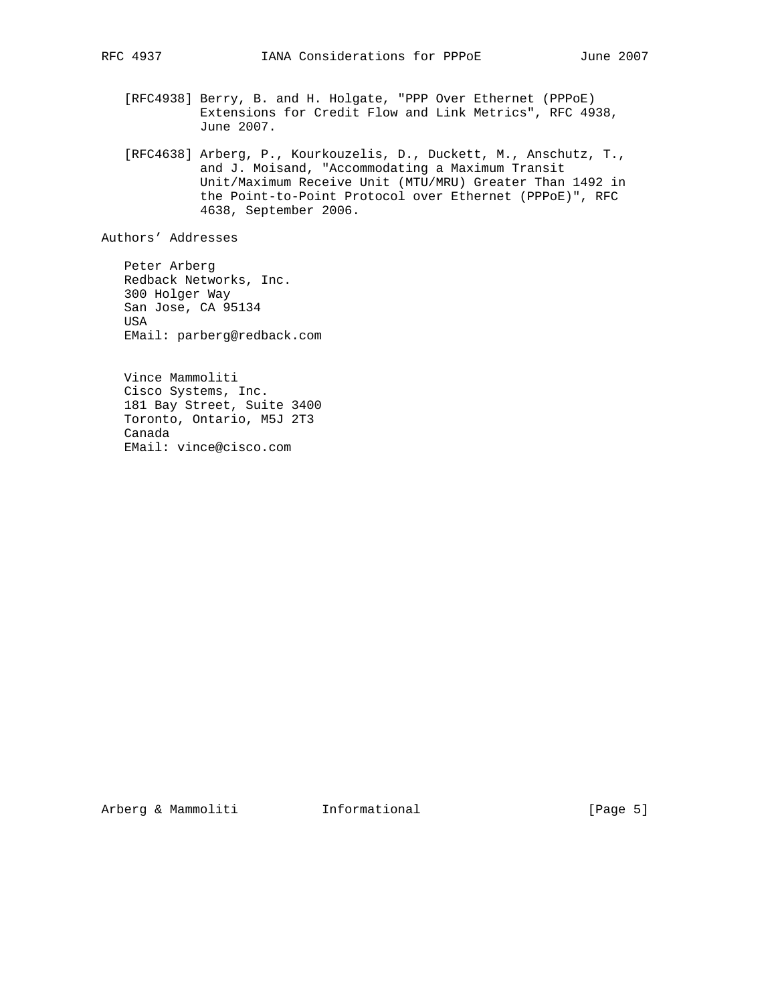- 
- [RFC4938] Berry, B. and H. Holgate, "PPP Over Ethernet (PPPoE) Extensions for Credit Flow and Link Metrics", RFC 4938, June 2007.
- [RFC4638] Arberg, P., Kourkouzelis, D., Duckett, M., Anschutz, T., and J. Moisand, "Accommodating a Maximum Transit Unit/Maximum Receive Unit (MTU/MRU) Greater Than 1492 in the Point-to-Point Protocol over Ethernet (PPPoE)", RFC 4638, September 2006.

Authors' Addresses

 Peter Arberg Redback Networks, Inc. 300 Holger Way San Jose, CA 95134 USA EMail: parberg@redback.com

 Vince Mammoliti Cisco Systems, Inc. 181 Bay Street, Suite 3400 Toronto, Ontario, M5J 2T3 Canada EMail: vince@cisco.com